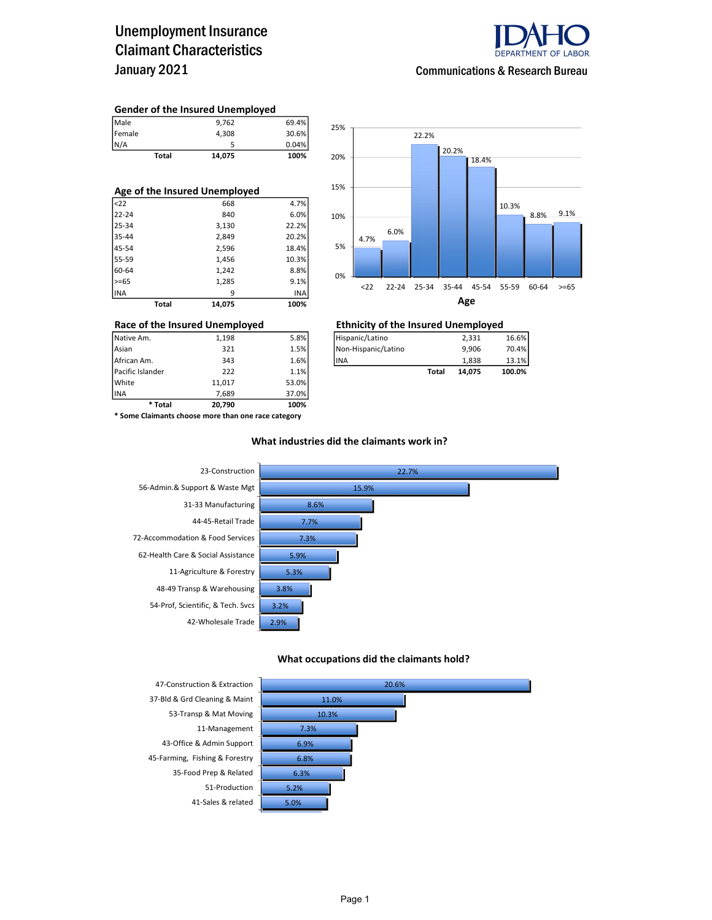### Unemployment Insurance Claimant Characteristics January 2021



#### Communications & Research Bureau

#### Gender of the Insured Unemployed

|                       | Total | 14,075 | 100%  |
|-----------------------|-------|--------|-------|
|                       |       |        | 0.04% |
|                       |       | 4.308  | 30.6% |
| Male<br>Female<br>N/A |       | 9.762  | 69.4% |

| Age of the Insured Unemployed |       |        |       |  |  |  |  |  |
|-------------------------------|-------|--------|-------|--|--|--|--|--|
| $ $ <22                       |       | 668    | 4.7%  |  |  |  |  |  |
| 22-24                         |       | 840    | 6.0%  |  |  |  |  |  |
| 25-34                         |       | 3,130  | 22.2% |  |  |  |  |  |
| 35-44                         |       | 2,849  | 20.2% |  |  |  |  |  |
| 45-54                         |       | 2,596  | 18.4% |  |  |  |  |  |
| 55-59                         |       | 1,456  | 10.3% |  |  |  |  |  |
| 60-64                         |       | 1,242  | 8.8%  |  |  |  |  |  |
| $>= 65$                       |       | 1,285  | 9.1%  |  |  |  |  |  |
| <b>INA</b>                    |       | 9      | INA   |  |  |  |  |  |
|                               | Total | 14.075 | 100%  |  |  |  |  |  |



### Race of the Insured Unemployed<br>
Native Am. 2,331 198 5.8% Filispanic/Latino 2,331 2,331

| Native Am.       | 1.198 | 5.8% | Hispanic/Latino     |       | 2.331  | 16.6%  |
|------------------|-------|------|---------------------|-------|--------|--------|
| Asian            | 321   | 1.5% | Non-Hispanic/Latino |       | 9.906  | 70.4%  |
| African Am.      | 343   | 1.6% | <b>IINA</b>         |       | 1.838  | 13.1%  |
| Pacific Islander | 222   | 1.1% |                     | Total | 14.075 | 100.0% |

INA 7,689 37.0% \* Some Claimants choose more than one race category

\* Total 20,790 100%

Pacific Islander 222 1.1% White 11,017 53.0%<br>11,017 53.0% 53.0%

#### What industries did the claimants work in?



#### What occupations did the claimants hold?



37-Bld & Grd Cleaning & Maint 43-Office & Admin Support 6.9% 45-Farming, Fishing & Forestry 35-Food Prep & Related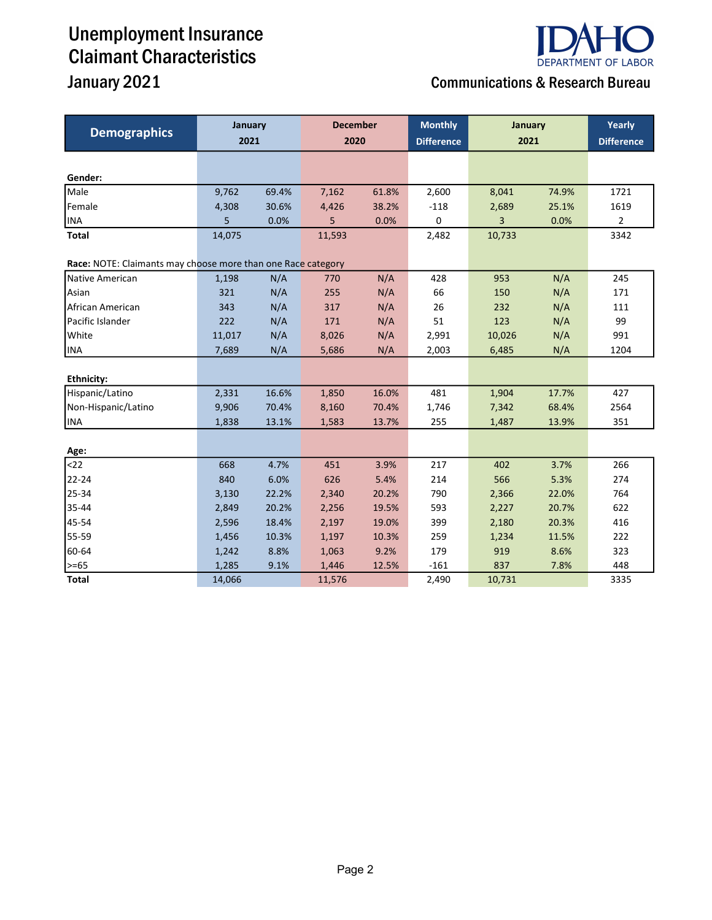# Unemployment Insurance Claimant Characteristics



## **January 2021** Communications & Research Bureau

| <b>Demographics</b>                                                             | January |       | <b>December</b> |       | <b>Monthly</b>    | January |       | Yearly            |  |
|---------------------------------------------------------------------------------|---------|-------|-----------------|-------|-------------------|---------|-------|-------------------|--|
|                                                                                 | 2021    |       | 2020            |       | <b>Difference</b> | 2021    |       | <b>Difference</b> |  |
|                                                                                 |         |       |                 |       |                   |         |       |                   |  |
| Gender:                                                                         |         |       |                 |       |                   |         |       |                   |  |
| Male                                                                            | 9,762   | 69.4% | 7,162           | 61.8% | 2,600             | 8,041   | 74.9% | 1721              |  |
| Female                                                                          | 4,308   | 30.6% | 4,426           | 38.2% | $-118$            | 2,689   | 25.1% | 1619              |  |
| <b>INA</b>                                                                      | 5       | 0.0%  | 5               | 0.0%  | 0                 | 3       | 0.0%  | $\overline{2}$    |  |
| Total                                                                           | 14,075  |       | 11,593          |       | 2,482             | 10,733  |       | 3342              |  |
|                                                                                 |         |       |                 |       |                   |         |       |                   |  |
| Race: NOTE: Claimants may choose more than one Race category<br>Native American | 1,198   | N/A   | 770             | N/A   | 428               | 953     | N/A   | 245               |  |
| Asian                                                                           | 321     | N/A   | 255             | N/A   | 66                | 150     | N/A   | 171               |  |
| African American                                                                | 343     | N/A   | 317             | N/A   | 26                | 232     | N/A   | 111               |  |
| Pacific Islander                                                                | 222     | N/A   | 171             | N/A   | 51                | 123     | N/A   | 99                |  |
| White                                                                           |         | N/A   |                 |       |                   |         |       | 991               |  |
|                                                                                 | 11,017  |       | 8,026           | N/A   | 2,991             | 10,026  | N/A   |                   |  |
| <b>INA</b>                                                                      | 7,689   | N/A   | 5,686           | N/A   | 2,003             | 6,485   | N/A   | 1204              |  |
| <b>Ethnicity:</b>                                                               |         |       |                 |       |                   |         |       |                   |  |
| Hispanic/Latino                                                                 | 2,331   | 16.6% | 1,850           | 16.0% | 481               | 1,904   | 17.7% | 427               |  |
| Non-Hispanic/Latino                                                             | 9,906   | 70.4% | 8,160           | 70.4% | 1,746             | 7,342   | 68.4% | 2564              |  |
| INA                                                                             | 1,838   | 13.1% | 1,583           | 13.7% | 255               | 1,487   | 13.9% | 351               |  |
|                                                                                 |         |       |                 |       |                   |         |       |                   |  |
| Age:                                                                            |         |       |                 |       |                   |         |       |                   |  |
| $22$                                                                            | 668     | 4.7%  | 451             | 3.9%  | 217               | 402     | 3.7%  | 266               |  |
| 22-24                                                                           | 840     | 6.0%  | 626             | 5.4%  | 214               | 566     | 5.3%  | 274               |  |
| 25-34                                                                           | 3,130   | 22.2% | 2,340           | 20.2% | 790               | 2,366   | 22.0% | 764               |  |
| 35-44                                                                           | 2,849   | 20.2% | 2,256           | 19.5% | 593               | 2,227   | 20.7% | 622               |  |
| 45-54                                                                           | 2,596   | 18.4% | 2,197           | 19.0% | 399               | 2,180   | 20.3% | 416               |  |
| 55-59                                                                           | 1,456   | 10.3% | 1,197           | 10.3% | 259               | 1,234   | 11.5% | 222               |  |
| 60-64                                                                           | 1,242   | 8.8%  | 1,063           | 9.2%  | 179               | 919     | 8.6%  | 323               |  |
| $\geq -65$                                                                      | 1,285   | 9.1%  | 1,446           | 12.5% | $-161$            | 837     | 7.8%  | 448               |  |
| <b>Total</b>                                                                    | 14,066  |       | 11,576          |       | 2,490             | 10,731  |       | 3335              |  |